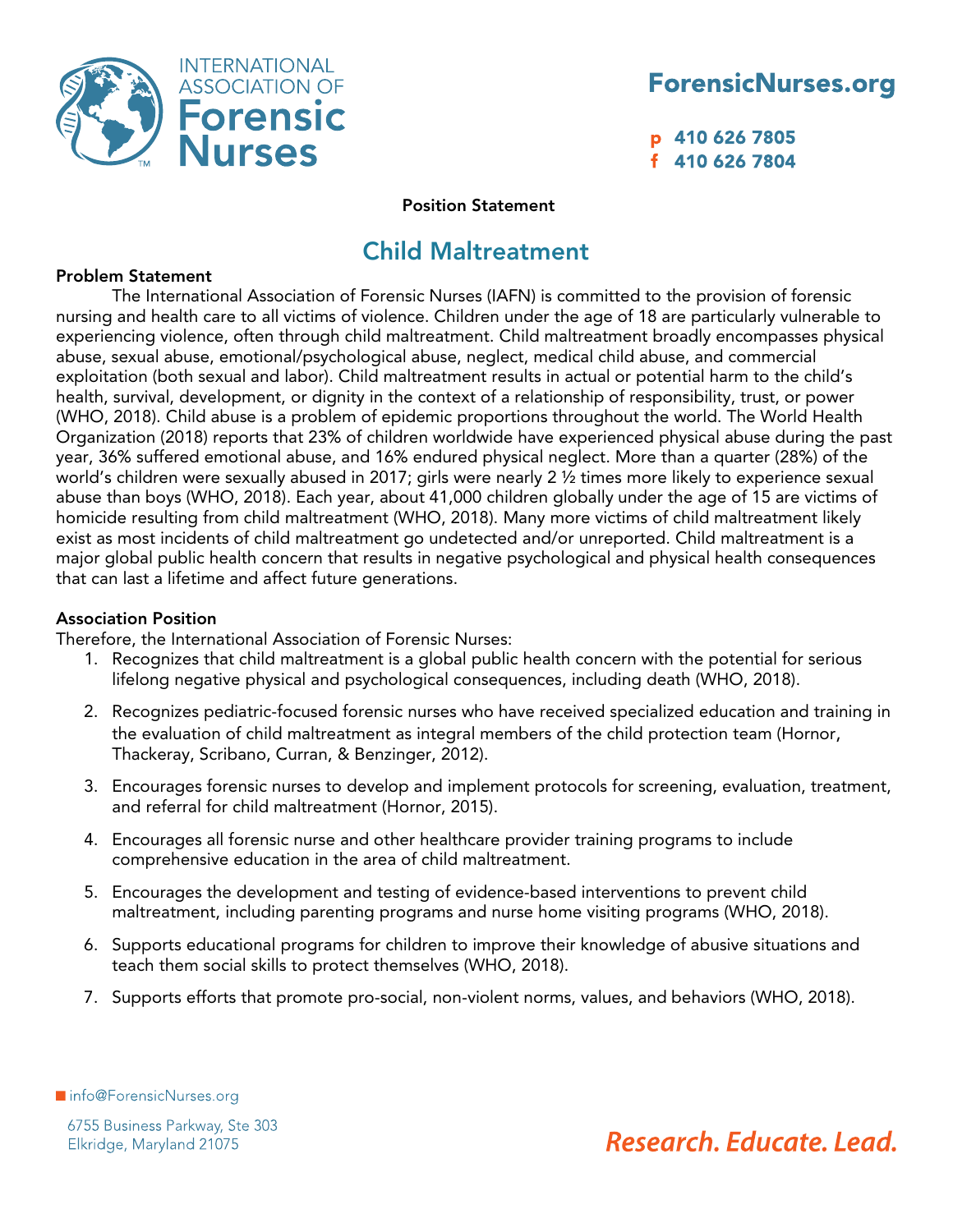

p 410 626 7805 f 410 626 7804

#### Position Statement

### Child Maltreatment

#### Problem Statement

The International Association of Forensic Nurses (IAFN) is committed to the provision of forensic nursing and health care to all victims of violence. Children under the age of 18 are particularly vulnerable to experiencing violence, often through child maltreatment. Child maltreatment broadly encompasses physical abuse, sexual abuse, emotional/psychological abuse, neglect, medical child abuse, and commercial exploitation (both sexual and labor). Child maltreatment results in actual or potential harm to the child's health, survival, development, or dignity in the context of a relationship of responsibility, trust, or power (WHO, 2018). Child abuse is a problem of epidemic proportions throughout the world. The World Health Organization (2018) reports that 23% of children worldwide have experienced physical abuse during the past year, 36% suffered emotional abuse, and 16% endured physical neglect. More than a quarter (28%) of the world's children were sexually abused in 2017; girls were nearly 2 ½ times more likely to experience sexual abuse than boys (WHO, 2018). Each year, about 41,000 children globally under the age of 15 are victims of homicide resulting from child maltreatment (WHO, 2018). Many more victims of child maltreatment likely exist as most incidents of child maltreatment go undetected and/or unreported. Child maltreatment is a major global public health concern that results in negative psychological and physical health consequences that can last a lifetime and affect future generations.

#### Association Position

Therefore, the International Association of Forensic Nurses:

- 1. Recognizes that child maltreatment is a global public health concern with the potential for serious lifelong negative physical and psychological consequences, including death (WHO, 2018).
- 2. Recognizes pediatric-focused forensic nurses who have received specialized education and training in the evaluation of child maltreatment as integral members of the child protection team (Hornor, Thackeray, Scribano, Curran, & Benzinger, 2012).
- 3. Encourages forensic nurses to develop and implement protocols for screening, evaluation, treatment, and referral for child maltreatment (Hornor, 2015).
- 4. Encourages all forensic nurse and other healthcare provider training programs to include comprehensive education in the area of child maltreatment.
- 5. Encourages the development and testing of evidence-based interventions to prevent child maltreatment, including parenting programs and nurse home visiting programs (WHO, 2018).
- 6. Supports educational programs for children to improve their knowledge of abusive situations and teach them social skills to protect themselves (WHO, 2018).
- 7. Supports efforts that promote pro-social, non-violent norms, values, and behaviors (WHO, 2018).

Info@ForensicNurses.org

Research, Educate, Lead.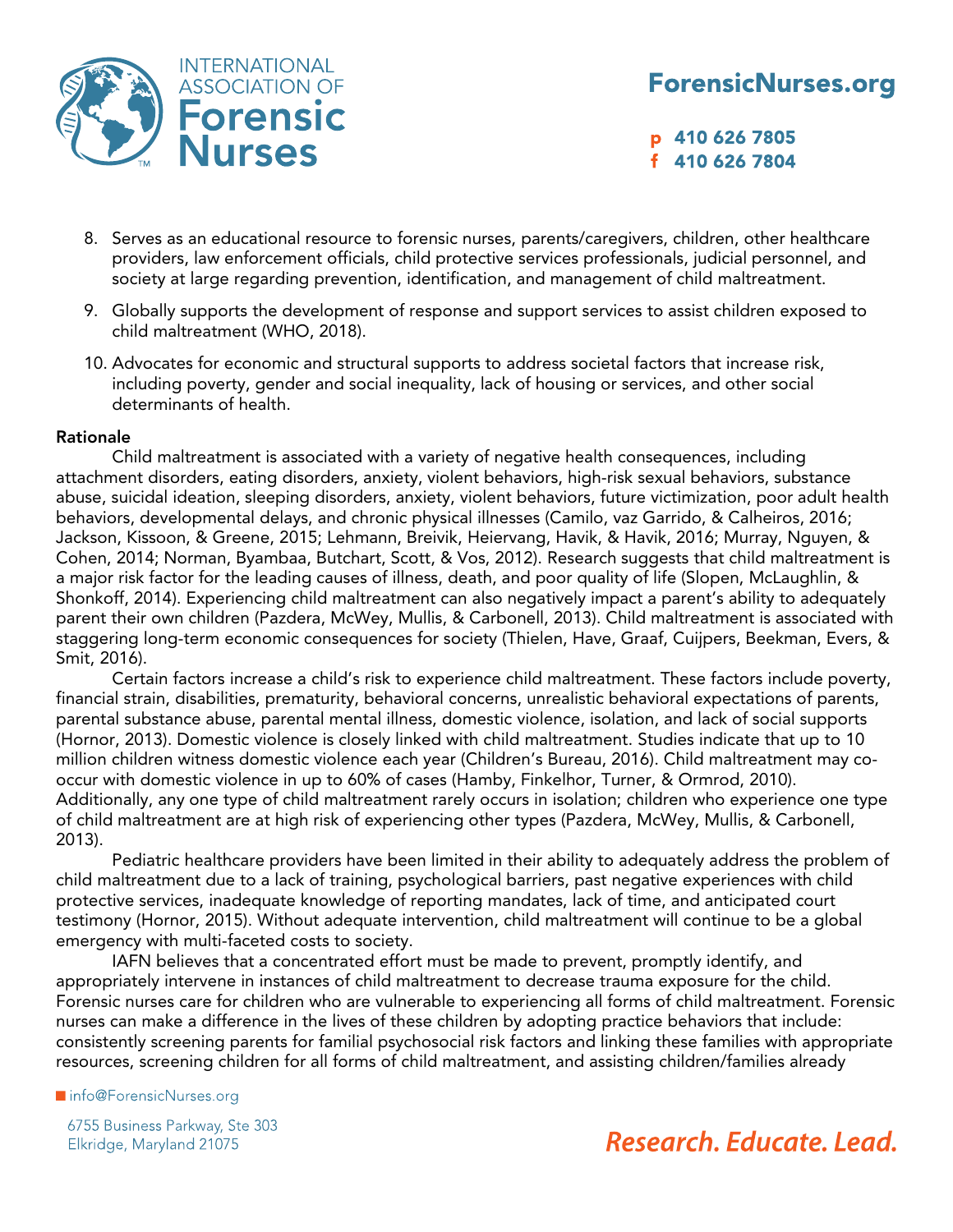

p 410 626 7805 f 410 626 7804

- 8. Serves as an educational resource to forensic nurses, parents/caregivers, children, other healthcare providers, law enforcement officials, child protective services professionals, judicial personnel, and society at large regarding prevention, identification, and management of child maltreatment.
- 9. Globally supports the development of response and support services to assist children exposed to child maltreatment (WHO, 2018).
- 10. Advocates for economic and structural supports to address societal factors that increase risk, including poverty, gender and social inequality, lack of housing or services, and other social determinants of health.

#### Rationale

Child maltreatment is associated with a variety of negative health consequences, including attachment disorders, eating disorders, anxiety, violent behaviors, high-risk sexual behaviors, substance abuse, suicidal ideation, sleeping disorders, anxiety, violent behaviors, future victimization, poor adult health behaviors, developmental delays, and chronic physical illnesses (Camilo, vaz Garrido, & Calheiros, 2016; Jackson, Kissoon, & Greene, 2015; Lehmann, Breivik, Heiervang, Havik, & Havik, 2016; Murray, Nguyen, & Cohen, 2014; Norman, Byambaa, Butchart, Scott, & Vos, 2012). Research suggests that child maltreatment is a major risk factor for the leading causes of illness, death, and poor quality of life (Slopen, McLaughlin, & Shonkoff, 2014). Experiencing child maltreatment can also negatively impact a parent's ability to adequately parent their own children (Pazdera, McWey, Mullis, & Carbonell, 2013). Child maltreatment is associated with staggering long-term economic consequences for society (Thielen, Have, Graaf, Cuijpers, Beekman, Evers, & Smit, 2016).

Certain factors increase a child's risk to experience child maltreatment. These factors include poverty, financial strain, disabilities, prematurity, behavioral concerns, unrealistic behavioral expectations of parents, parental substance abuse, parental mental illness, domestic violence, isolation, and lack of social supports (Hornor, 2013). Domestic violence is closely linked with child maltreatment. Studies indicate that up to 10 million children witness domestic violence each year (Children's Bureau, 2016). Child maltreatment may cooccur with domestic violence in up to 60% of cases (Hamby, Finkelhor, Turner, & Ormrod, 2010). Additionally, any one type of child maltreatment rarely occurs in isolation; children who experience one type of child maltreatment are at high risk of experiencing other types (Pazdera, McWey, Mullis, & Carbonell, 2013).

Pediatric healthcare providers have been limited in their ability to adequately address the problem of child maltreatment due to a lack of training, psychological barriers, past negative experiences with child protective services, inadequate knowledge of reporting mandates, lack of time, and anticipated court testimony (Hornor, 2015). Without adequate intervention, child maltreatment will continue to be a global emergency with multi-faceted costs to society.

IAFN believes that a concentrated effort must be made to prevent, promptly identify, and appropriately intervene in instances of child maltreatment to decrease trauma exposure for the child. Forensic nurses care for children who are vulnerable to experiencing all forms of child maltreatment. Forensic nurses can make a difference in the lives of these children by adopting practice behaviors that include: consistently screening parents for familial psychosocial risk factors and linking these families with appropriate resources, screening children for all forms of child maltreatment, and assisting children/families already

ninfo@ForensicNurses.org

6755 Business Parkway, Ste 303 Elkridge, Maryland 21075

# Research, Educate, Lead.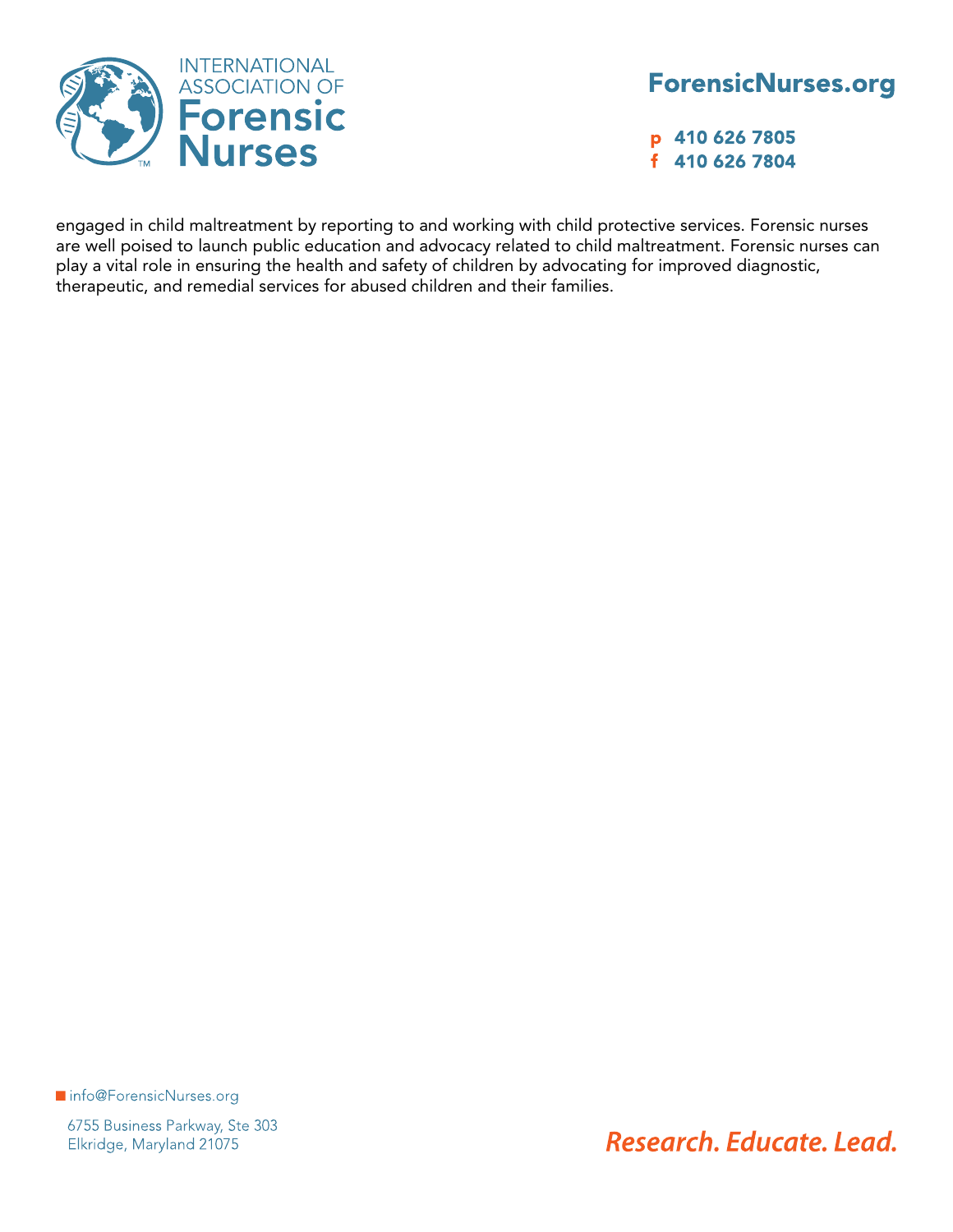

p 410 626 7805 f 410 626 7804

engaged in child maltreatment by reporting to and working with child protective services. Forensic nurses are well poised to launch public education and advocacy related to child maltreatment. Forensic nurses can play a vital role in ensuring the health and safety of children by advocating for improved diagnostic, therapeutic, and remedial services for abused children and their families.

Info@ForensicNurses.org

6755 Business Parkway, Ste 303 Elkridge, Maryland 21075

Research, Educate, Lead.